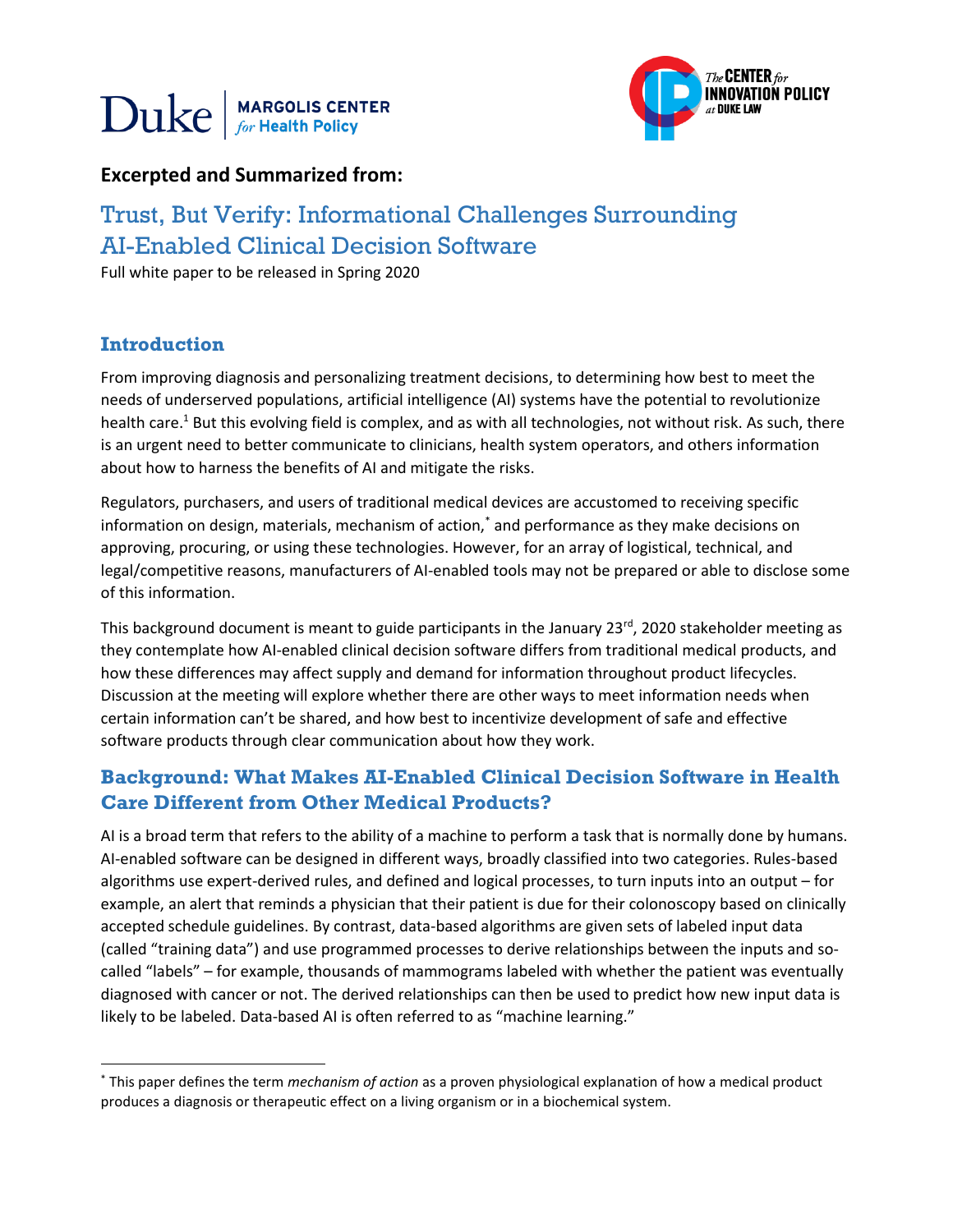



## **Excerpted and Summarized from:**

# Trust, But Verify: Informational Challenges Surrounding AI-Enabled Clinical Decision Software

Full white paper to be released in Spring 2020

### **Introduction**

 $\ddot{\phantom{a}}$ 

From improving diagnosis and personalizing treatment decisions, to determining how best to meet the needs of underserved populations, artificial intelligence (AI) systems have the potential to revolutionize health care.<sup>1</sup> But this evolving field is complex, and as with all technologies, not without risk. As such, there is an urgent need to better communicate to clinicians, health system operators, and others information about how to harness the benefits of AI and mitigate the risks.

Regulators, purchasers, and users of traditional medical devices are accustomed to receiving specific information on design, materials, mechanism of action,\* and performance as they make decisions on approving, procuring, or using these technologies. However, for an array of logistical, technical, and legal/competitive reasons, manufacturers of AI-enabled tools may not be prepared or able to disclose some of this information.

This background document is meant to guide participants in the January 23<sup>rd</sup>, 2020 stakeholder meeting as they contemplate how AI-enabled clinical decision software differs from traditional medical products, and how these differences may affect supply and demand for information throughout product lifecycles. Discussion at the meeting will explore whether there are other ways to meet information needs when certain information can't be shared, and how best to incentivize development of safe and effective software products through clear communication about how they work.

# **Background: What Makes AI-Enabled Clinical Decision Software in Health Care Different from Other Medical Products?**

AI is a broad term that refers to the ability of a machine to perform a task that is normally done by humans. AI-enabled software can be designed in different ways, broadly classified into two categories. Rules-based algorithms use expert-derived rules, and defined and logical processes, to turn inputs into an output – for example, an alert that reminds a physician that their patient is due for their colonoscopy based on clinically accepted schedule guidelines. By contrast, data-based algorithms are given sets of labeled input data (called "training data") and use programmed processes to derive relationships between the inputs and socalled "labels" – for example, thousands of mammograms labeled with whether the patient was eventually diagnosed with cancer or not. The derived relationships can then be used to predict how new input data is likely to be labeled. Data-based AI is often referred to as "machine learning."

<sup>\*</sup> This paper defines the term *mechanism of action* as a proven physiological explanation of how a medical product produces a diagnosis or therapeutic effect on a living organism or in a biochemical system.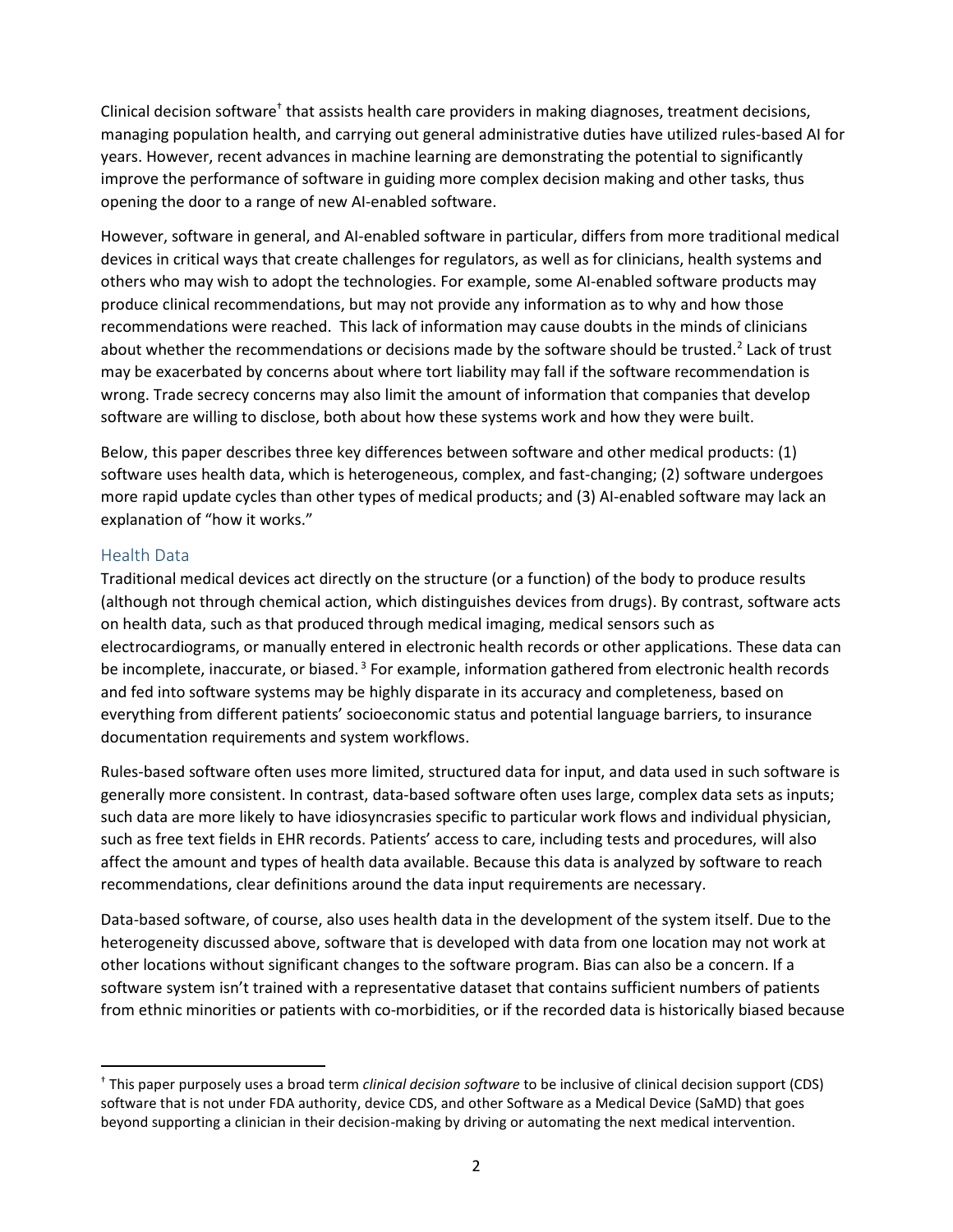Clinical decision software<sup>†</sup> that assists health care providers in making diagnoses, treatment decisions, managing population health, and carrying out general administrative duties have utilized rules-based AI for years. However, recent advances in machine learning are demonstrating the potential to significantly improve the performance of software in guiding more complex decision making and other tasks, thus opening the door to a range of new AI-enabled software.

However, software in general, and AI-enabled software in particular, differs from more traditional medical devices in critical ways that create challenges for regulators, as well as for clinicians, health systems and others who may wish to adopt the technologies. For example, some AI-enabled software products may produce clinical recommendations, but may not provide any information as to why and how those recommendations were reached. This lack of information may cause doubts in the minds of clinicians about whether the recommendations or decisions made by the software should be trusted.<sup>2</sup> Lack of trust may be exacerbated by concerns about where tort liability may fall if the software recommendation is wrong. Trade secrecy concerns may also limit the amount of information that companies that develop software are willing to disclose, both about how these systems work and how they were built.

Below, this paper describes three key differences between software and other medical products: (1) software uses health data, which is heterogeneous, complex, and fast-changing; (2) software undergoes more rapid update cycles than other types of medical products; and (3) AI-enabled software may lack an explanation of "how it works."

#### Health Data

 $\ddot{\phantom{a}}$ 

Traditional medical devices act directly on the structure (or a function) of the body to produce results (although not through chemical action, which distinguishes devices from drugs). By contrast, software acts on health data, such as that produced through medical imaging, medical sensors such as electrocardiograms, or manually entered in electronic health records or other applications. These data can be incomplete, inaccurate, or biased.<sup>3</sup> For example, information gathered from electronic health records and fed into software systems may be highly disparate in its accuracy and completeness, based on everything from different patients' socioeconomic status and potential language barriers, to insurance documentation requirements and system workflows.

Rules-based software often uses more limited, structured data for input, and data used in such software is generally more consistent. In contrast, data-based software often uses large, complex data sets as inputs; such data are more likely to have idiosyncrasies specific to particular work flows and individual physician, such as free text fields in EHR records. Patients' access to care, including tests and procedures, will also affect the amount and types of health data available. Because this data is analyzed by software to reach recommendations, clear definitions around the data input requirements are necessary.

Data-based software, of course, also uses health data in the development of the system itself. Due to the heterogeneity discussed above, software that is developed with data from one location may not work at other locations without significant changes to the software program. Bias can also be a concern. If a software system isn't trained with a representative dataset that contains sufficient numbers of patients from ethnic minorities or patients with co-morbidities, or if the recorded data is historically biased because

<sup>†</sup> This paper purposely uses a broad term *clinical decision software* to be inclusive of clinical decision support (CDS) software that is not under FDA authority, device CDS, and other Software as a Medical Device (SaMD) that goes beyond supporting a clinician in their decision-making by driving or automating the next medical intervention.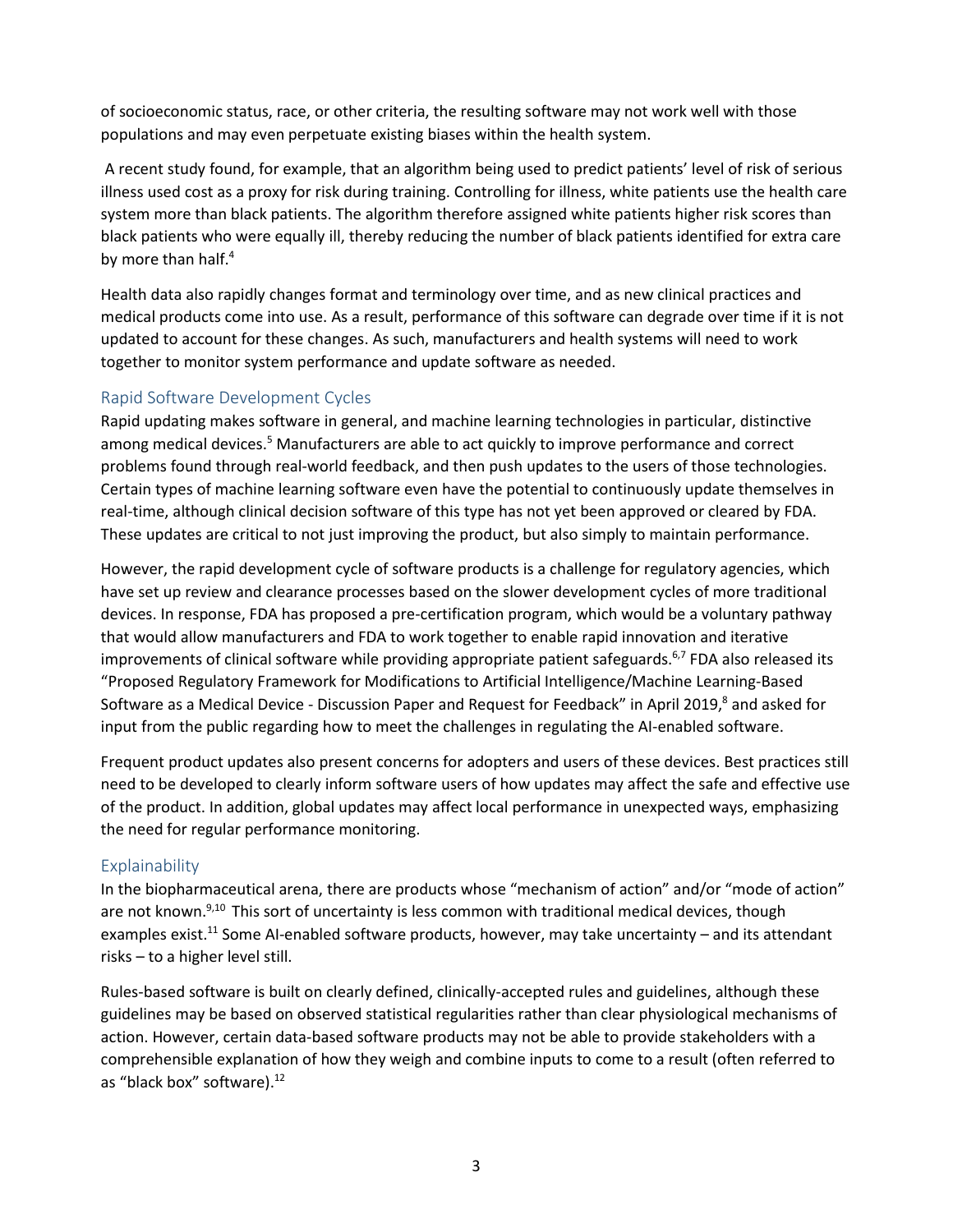of socioeconomic status, race, or other criteria, the resulting software may not work well with those populations and may even perpetuate existing biases within the health system.

A recent study found, for example, that an algorithm being used to predict patients' level of risk of serious illness used cost as a proxy for risk during training. Controlling for illness, white patients use the health care system more than black patients. The algorithm therefore assigned white patients higher risk scores than black patients who were equally ill, thereby reducing the number of black patients identified for extra care by more than half.<sup>4</sup>

Health data also rapidly changes format and terminology over time, and as new clinical practices and medical products come into use. As a result, performance of this software can degrade over time if it is not updated to account for these changes. As such, manufacturers and health systems will need to work together to monitor system performance and update software as needed.

#### Rapid Software Development Cycles

Rapid updating makes software in general, and machine learning technologies in particular, distinctive among medical devices.<sup>5</sup> Manufacturers are able to act quickly to improve performance and correct problems found through real-world feedback, and then push updates to the users of those technologies. Certain types of machine learning software even have the potential to continuously update themselves in real-time, although clinical decision software of this type has not yet been approved or cleared by FDA. These updates are critical to not just improving the product, but also simply to maintain performance.

However, the rapid development cycle of software products is a challenge for regulatory agencies, which have set up review and clearance processes based on the slower development cycles of more traditional devices. In response, FDA has proposed a pre-certification program, which would be a voluntary pathway that would allow manufacturers and FDA to work together to enable rapid innovation and iterative improvements of clinical software while providing appropriate patient safeguards.<sup>6,7</sup> FDA also released its "Proposed Regulatory Framework for Modifications to Artificial Intelligence/Machine Learning-Based Software as a Medical Device - Discussion Paper and Request for Feedback" in April 2019,<sup>8</sup> and asked for input from the public regarding how to meet the challenges in regulating the AI-enabled software.

Frequent product updates also present concerns for adopters and users of these devices. Best practices still need to be developed to clearly inform software users of how updates may affect the safe and effective use of the product. In addition, global updates may affect local performance in unexpected ways, emphasizing the need for regular performance monitoring.

#### **Explainability**

In the biopharmaceutical arena, there are products whose "mechanism of action" and/or "mode of action" are not known.<sup>9,10</sup> This sort of uncertainty is less common with traditional medical devices, though examples exist.<sup>11</sup> Some AI-enabled software products, however, may take uncertainty – and its attendant risks – to a higher level still.

Rules-based software is built on clearly defined, clinically-accepted rules and guidelines, although these guidelines may be based on observed statistical regularities rather than clear physiological mechanisms of action. However, certain data-based software products may not be able to provide stakeholders with a comprehensible explanation of how they weigh and combine inputs to come to a result (often referred to as "black box" software).<sup>12</sup>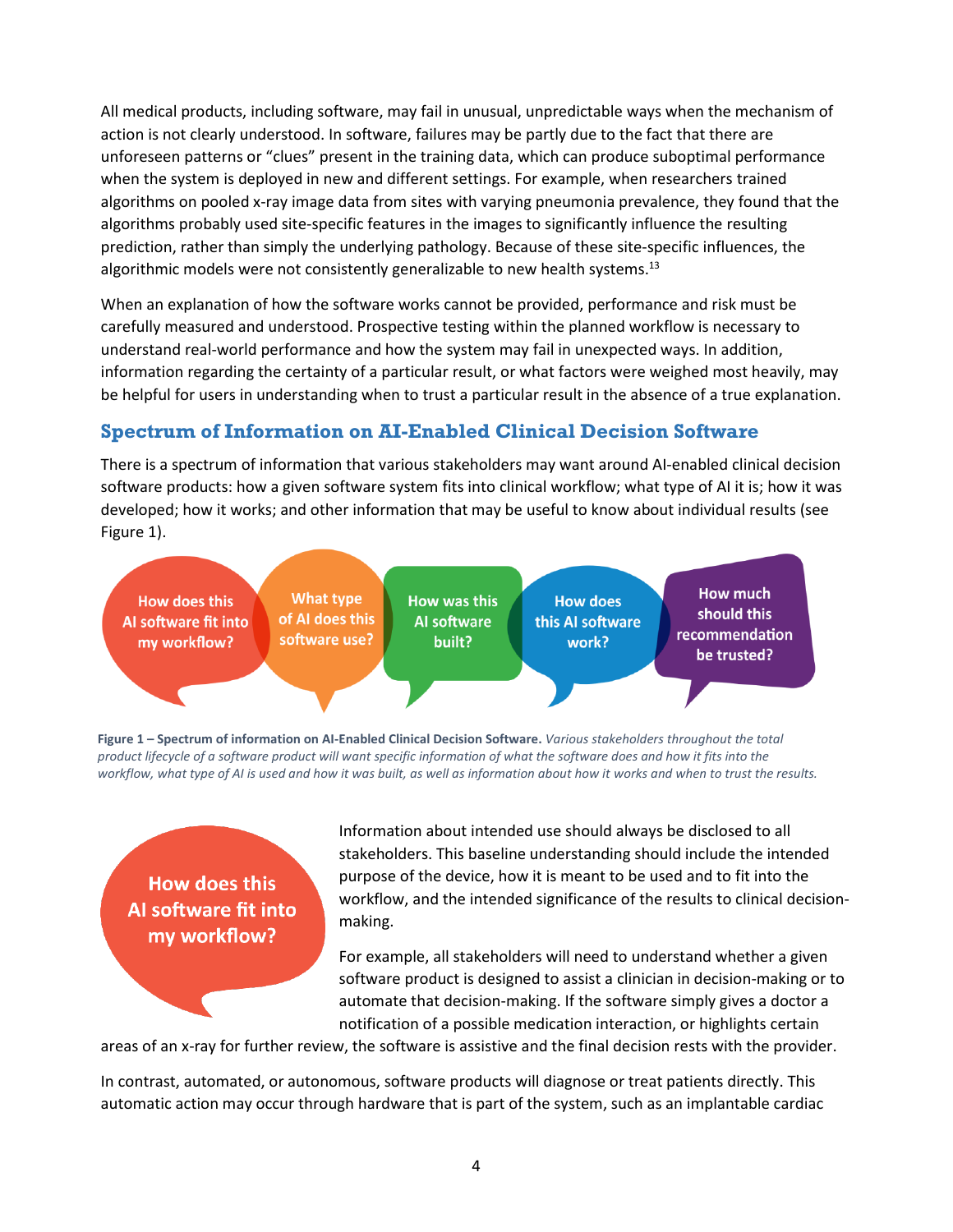All medical products, including software, may fail in unusual, unpredictable ways when the mechanism of action is not clearly understood. In software, failures may be partly due to the fact that there are unforeseen patterns or "clues" present in the training data, which can produce suboptimal performance when the system is deployed in new and different settings. For example, when researchers trained algorithms on pooled x-ray image data from sites with varying pneumonia prevalence, they found that the algorithms probably used site-specific features in the images to significantly influence the resulting prediction, rather than simply the underlying pathology. Because of these site-specific influences, the algorithmic models were not consistently generalizable to new health systems.<sup>13</sup>

When an explanation of how the software works cannot be provided, performance and risk must be carefully measured and understood. Prospective testing within the planned workflow is necessary to understand real-world performance and how the system may fail in unexpected ways. In addition, information regarding the certainty of a particular result, or what factors were weighed most heavily, may be helpful for users in understanding when to trust a particular result in the absence of a true explanation.

## **Spectrum of Information on AI-Enabled Clinical Decision Software**

There is a spectrum of information that various stakeholders may want around AI-enabled clinical decision software products: how a given software system fits into clinical workflow; what type of AI it is; how it was developed; how it works; and other information that may be useful to know about individual results (see Figure 1).



**Figure 1 – Spectrum of information on AI-Enabled Clinical Decision Software.** *Various stakeholders throughout the total product lifecycle of a software product will want specific information of what the software does and how it fits into the workflow, what type of AI is used and how it was built, as well as information about how it works and when to trust the results.* 

**How does this** Al software fit into my workflow?

Information about intended use should always be disclosed to all stakeholders. This baseline understanding should include the intended purpose of the device, how it is meant to be used and to fit into the workflow, and the intended significance of the results to clinical decisionmaking.

For example, all stakeholders will need to understand whether a given software product is designed to assist a clinician in decision-making or to automate that decision-making. If the software simply gives a doctor a notification of a possible medication interaction, or highlights certain

areas of an x-ray for further review, the software is assistive and the final decision rests with the provider.

In contrast, automated, or autonomous, software products will diagnose or treat patients directly. This automatic action may occur through hardware that is part of the system, such as an implantable cardiac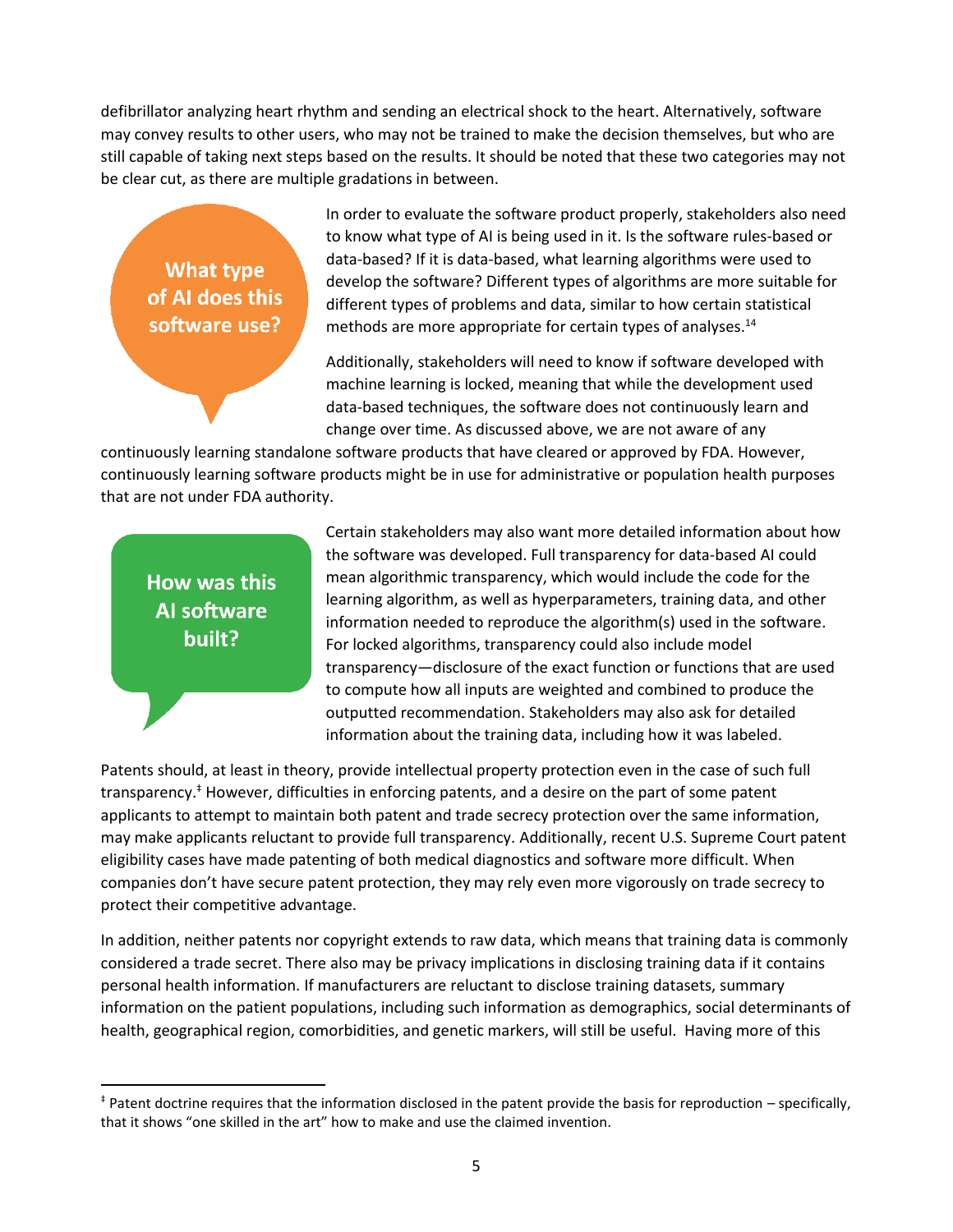defibrillator analyzing heart rhythm and sending an electrical shock to the heart. Alternatively, software may convey results to other users, who may not be trained to make the decision themselves, but who are still capable of taking next steps based on the results. It should be noted that these two categories may not be clear cut, as there are multiple gradations in between.

What type of AI does this software use?

In order to evaluate the software product properly, stakeholders also need to know what type of AI is being used in it. Is the software rules-based or data-based? If it is data-based, what learning algorithms were used to develop the software? Different types of algorithms are more suitable for different types of problems and data, similar to how certain statistical methods are more appropriate for certain types of analyses.<sup>14</sup>

Additionally, stakeholders will need to know if software developed with machine learning is locked, meaning that while the development used data-based techniques, the software does not continuously learn and change over time. As discussed above, we are not aware of any

continuously learning standalone software products that have cleared or approved by FDA. However, continuously learning software products might be in use for administrative or population health purposes that are not under FDA authority.

How was this **Al software** built?

 $\overline{a}$ 

Certain stakeholders may also want more detailed information about how the software was developed. Full transparency for data-based AI could mean algorithmic transparency, which would include the code for the learning algorithm, as well as hyperparameters, training data, and other information needed to reproduce the algorithm(s) used in the software. For locked algorithms, transparency could also include model transparency—disclosure of the exact function or functions that are used to compute how all inputs are weighted and combined to produce the outputted recommendation. Stakeholders may also ask for detailed information about the training data, including how it was labeled.

Patents should, at least in theory, provide intellectual property protection even in the case of such full transparency. ‡ However, difficulties in enforcing patents, and a desire on the part of some patent applicants to attempt to maintain both patent and trade secrecy protection over the same information, may make applicants reluctant to provide full transparency. Additionally, recent U.S. Supreme Court patent eligibility cases have made patenting of both medical diagnostics and software more difficult. When companies don't have secure patent protection, they may rely even more vigorously on trade secrecy to protect their competitive advantage.

In addition, neither patents nor copyright extends to raw data, which means that training data is commonly considered a trade secret. There also may be privacy implications in disclosing training data if it contains personal health information. If manufacturers are reluctant to disclose training datasets, summary information on the patient populations, including such information as demographics, social determinants of health, geographical region, comorbidities, and genetic markers, will still be useful. Having more of this

<sup>‡</sup> Patent doctrine requires that the information disclosed in the patent provide the basis for reproduction – specifically, that it shows "one skilled in the art" how to make and use the claimed invention.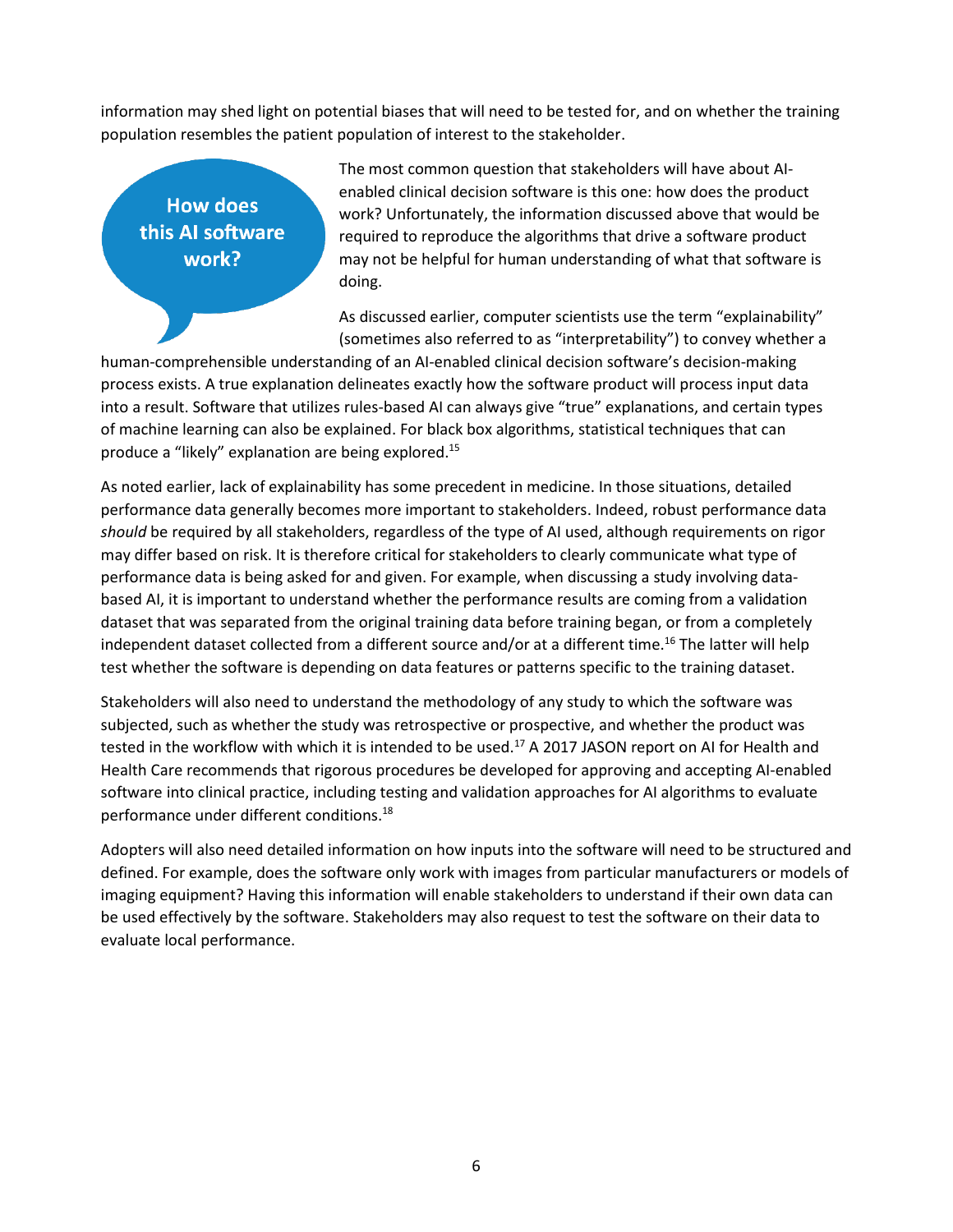information may shed light on potential biases that will need to be tested for, and on whether the training population resembles the patient population of interest to the stakeholder.

**How does** this AI software work?

The most common question that stakeholders will have about AIenabled clinical decision software is this one: how does the product work? Unfortunately, the information discussed above that would be required to reproduce the algorithms that drive a software product may not be helpful for human understanding of what that software is doing.

As discussed earlier, computer scientists use the term "explainability" (sometimes also referred to as "interpretability") to convey whether a

human-comprehensible understanding of an AI-enabled clinical decision software's decision-making process exists. A true explanation delineates exactly how the software product will process input data into a result. Software that utilizes rules-based AI can always give "true" explanations, and certain types of machine learning can also be explained. For black box algorithms, statistical techniques that can produce a "likely" explanation are being explored.<sup>15</sup>

As noted earlier, lack of explainability has some precedent in medicine. In those situations, detailed performance data generally becomes more important to stakeholders. Indeed, robust performance data *should* be required by all stakeholders, regardless of the type of AI used, although requirements on rigor may differ based on risk. It is therefore critical for stakeholders to clearly communicate what type of performance data is being asked for and given. For example, when discussing a study involving databased AI, it is important to understand whether the performance results are coming from a validation dataset that was separated from the original training data before training began, or from a completely independent dataset collected from a different source and/or at a different time.<sup>16</sup> The latter will help test whether the software is depending on data features or patterns specific to the training dataset.

Stakeholders will also need to understand the methodology of any study to which the software was subjected, such as whether the study was retrospective or prospective, and whether the product was tested in the workflow with which it is intended to be used.<sup>17</sup> A 2017 JASON report on AI for Health and Health Care recommends that rigorous procedures be developed for approving and accepting AI-enabled software into clinical practice, including testing and validation approaches for AI algorithms to evaluate performance under different conditions.<sup>18</sup>

Adopters will also need detailed information on how inputs into the software will need to be structured and defined. For example, does the software only work with images from particular manufacturers or models of imaging equipment? Having this information will enable stakeholders to understand if their own data can be used effectively by the software. Stakeholders may also request to test the software on their data to evaluate local performance.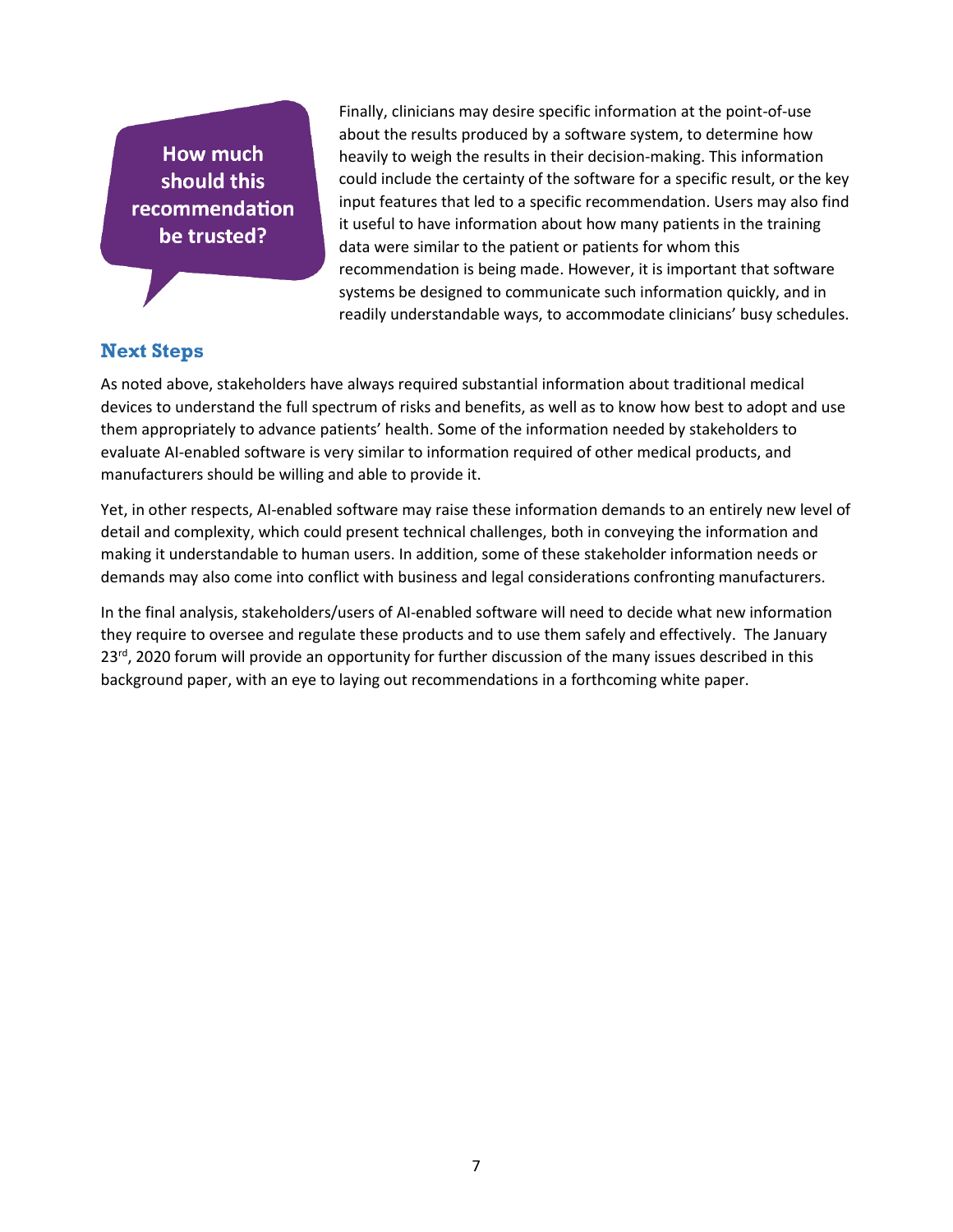How much should this recommendation be trusted?

Finally, clinicians may desire specific information at the point-of-use about the results produced by a software system, to determine how heavily to weigh the results in their decision-making. This information could include the certainty of the software for a specific result, or the key input features that led to a specific recommendation. Users may also find it useful to have information about how many patients in the training data were similar to the patient or patients for whom this recommendation is being made. However, it is important that software systems be designed to communicate such information quickly, and in readily understandable ways, to accommodate clinicians' busy schedules.

# **Next Steps**

As noted above, stakeholders have always required substantial information about traditional medical devices to understand the full spectrum of risks and benefits, as well as to know how best to adopt and use them appropriately to advance patients' health. Some of the information needed by stakeholders to evaluate AI-enabled software is very similar to information required of other medical products, and manufacturers should be willing and able to provide it.

Yet, in other respects, AI-enabled software may raise these information demands to an entirely new level of detail and complexity, which could present technical challenges, both in conveying the information and making it understandable to human users. In addition, some of these stakeholder information needs or demands may also come into conflict with business and legal considerations confronting manufacturers.

In the final analysis, stakeholders/users of AI-enabled software will need to decide what new information they require to oversee and regulate these products and to use them safely and effectively. The January 23<sup>rd</sup>, 2020 forum will provide an opportunity for further discussion of the many issues described in this background paper, with an eye to laying out recommendations in a forthcoming white paper.